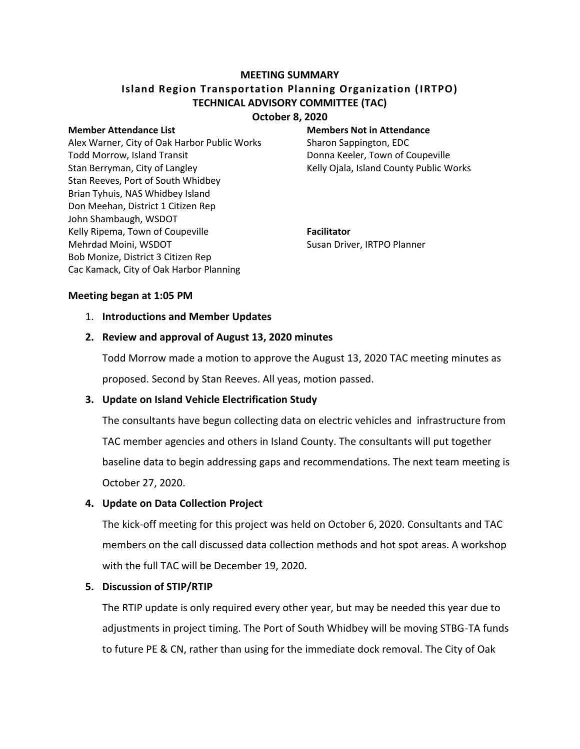## **MEETING SUMMARY**

# **Island Region Transportation Planning Organization (IRTPO) TECHNICAL ADVISORY COMMITTEE (TAC)**

### **October 8, 2020**

Alex Warner, City of Oak Harbor Public Works Sharon Sappington, EDC Todd Morrow, Island Transit **Communisty** Donna Keeler, Town of Coupeville Stan Berryman, City of Langley The Manusculi Relly Ojala, Island County Public Works Stan Reeves, Port of South Whidbey Brian Tyhuis, NAS Whidbey Island Don Meehan, District 1 Citizen Rep John Shambaugh, WSDOT Kelly Ripema, Town of Coupeville **Facilitator** Mehrdad Moini, WSDOT Susan Driver, IRTPO Planner Bob Monize, District 3 Citizen Rep Cac Kamack, City of Oak Harbor Planning

#### **Member Attendance List Members Not in Attendance**

#### **Meeting began at 1:05 PM**

#### 1. **Introductions and Member Updates**

#### **2. Review and approval of August 13, 2020 minutes**

Todd Morrow made a motion to approve the August 13, 2020 TAC meeting minutes as proposed. Second by Stan Reeves. All yeas, motion passed.

#### **3. Update on Island Vehicle Electrification Study**

The consultants have begun collecting data on electric vehicles and infrastructure from TAC member agencies and others in Island County. The consultants will put together baseline data to begin addressing gaps and recommendations. The next team meeting is October 27, 2020.

#### **4. Update on Data Collection Project**

The kick-off meeting for this project was held on October 6, 2020. Consultants and TAC members on the call discussed data collection methods and hot spot areas. A workshop with the full TAC will be December 19, 2020.

#### **5. Discussion of STIP/RTIP**

The RTIP update is only required every other year, but may be needed this year due to adjustments in project timing. The Port of South Whidbey will be moving STBG-TA funds to future PE & CN, rather than using for the immediate dock removal. The City of Oak